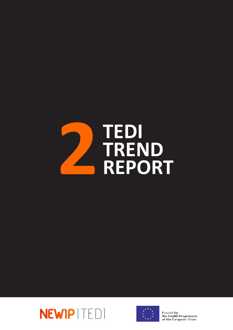





Funded by the Health Programme of the European Union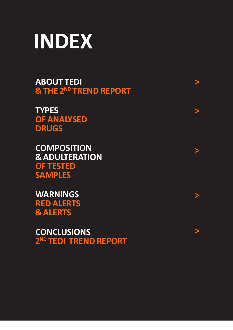

**[ABOUT TEDI](#page-3-0)  [& THE 2ND TREND REPORT](#page-3-0)**

**[>](#page-3-0)**

**[>](#page-5-0)**

**[>](#page-8-0)**

**[>](#page-16-0)**

**[>](#page-19-0)**

**[TYPES](#page-5-0) [OF ANALYSED](#page-5-0) [DRUGS](#page-5-0)**

**[COMPOSITION](#page-8-0)  [& ADULTERATION](#page-8-0) [OF TESTED](#page-8-0)  [SAMPLES](#page-8-0)**

**[WARNINGS](#page-16-0) [RED ALERTS](#page-16-0)  [& ALERTS](#page-16-0)**

**[CONCLUSIONS](#page-19-0) [2ND TEDI TREND REPORT](#page-19-0)**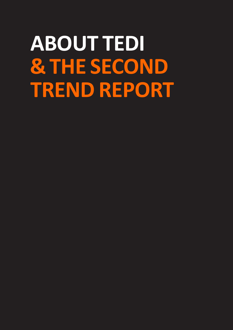# **ABOUT TEDI & THE SECOND TREND REPORT**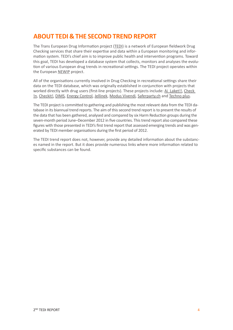# <span id="page-3-0"></span>**ABOUT TEDI & THE SECOND TREND REPORT**

The Trans European Drug Information project ([TEDI](http://www.tediproject.org)) is a network of European fieldwork Drug Checking services that share their expertise and data within a European monitoring and information system. TEDI's chief aim is to improve public health and intervention programs. Toward this goal, TEDI has developed a database system that collects, monitors and analyses the evolution of various European drug trends in recreational settings. The TEDI project operates within the European [NEWIP](http://www.safernightlife.org/) project.

All of the organisations currently involved in Drug Checking in recreational settings share their data on the TEDI database, which was originally established in conjunction with projects that worked directly with drug users (first-line projects). These projects include: [Ai Laket!!](http://www.ailaket.com/), [Check](https://sites.google.com/site/checkinfreemind/)  [!n](https://sites.google.com/site/checkinfreemind/), [Checkit!](http://www.checkyourdrugs.at/), [DIMS](http://www.trimbos.nl/projecten-en-onderzoek/dims), [Energy Control,](http://www.energycontrol.org) [Jellinek,](http://www.jellinek.nl/) [Modus Vivendi,](http://www.modusvivendi-be.org/spip.php?rubrique21) [Saferparty.ch](http://www.saferparty.ch/allgemein.html) and [Techno plus](http://www.technoplus.org/).

The TEDI project is committed to gathering and publishing the most relevant data from the TEDI database in its biannual trend reports. The aim of this second trend report is to present the results of the data that has been gathered, analysed and compared by six Harm Reduction groups during the seven-month period June–December 2012 in five countries. This trend report also compared these figures with those presented in TEDI's first trend report that assessed emerging trends and was generated by TEDI member organisations during the first period of 2012.

The TEDI trend report does not, however, provide any detailed information about the substances named in the report. But it does provide numerous links where more information related to specific substances can be found.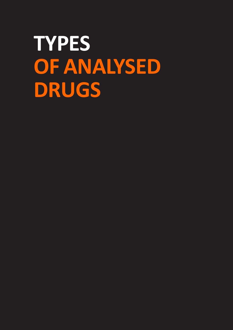# **TYPES OF ANALYSED DRUGS**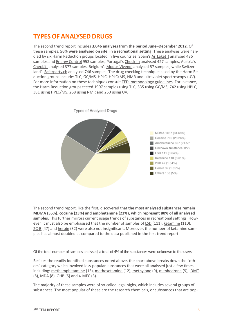## <span id="page-5-0"></span>**TYPES OF ANALYSED DRUGS**

The second trend report includes **3,046 analyses from the period June–December 2012**. Of these samples, **56% were analysed on site, in a recreational setting**. These analyses were han-dled by six Harm Reduction groups located in five countries: Spain's [Ai Laket!!](http://www.ailaket.com/) analysed 486 samples and [Energy Control](http://www.energycontrol.org) 953 samples, Portugal's [Check !n](https://sites.google.com/site/checkinfreemind/) analysed 427 samples, Austria's [Checkit!](http://www.checkyourdrugs.at/) analysed 377 samples, Belgium's [Modus Vivendi](http://www.modusvivendi-be.org/spip.php?rubrique21) analysed 57 samples, while Switzerland's [Saferparty.ch](http://www.saferparty.ch/allgemein.html) analysed 746 samples. The drug checking techniques used by the Harm Reduction groups include: TLC, GC/MS, HPLC, HPLC/MS, NMR and ultraviolet spectroscopy (UV). For more information on these techniques consult **TEDI** methodology guidelines. For instance, the Harm Reduction groups tested 1907 samples using TLC, 335 using GC/MS, 742 using HPLC, 381 using HPLC/MS, 268 using NMR and 260 using UV.



The second trend report, like the first, discovered that **the most analysed substances remain [MDMA](http://www.emcdda.europa.eu/publications/drug-profiles/mdma) (35%), [cocaine](http://www.emcdda.europa.eu/publications/drug-profiles/cocaine) (23%) and [amphetamine](http://www.emcdda.europa.eu/publications/drug-profiles/amphetamine) (22%), which represent 80% of all analysed samples.** This further mirrors current usage trends of substances in recreational settings. How-ever, it must also be emphasised that the number of samples of [LSD](http://www.emcdda.europa.eu/publications/drug-profiles/lsd) (111), [ketamine](http://www.erowid.org/chemicals/ketamine/) (110), [2C-B](http://www.erowid.org/chemicals/2cb/) (47) and [heroin](http://www.emcdda.europa.eu/publications/drug-profiles/heroin) (32) were also not insignificant. Moreover, the number of ketamine samples has almost doubled as compared to the data published in the first trend report.

Of the total number of samples analysed, a total of 4% of the substances were unknown to the users.

Besides the readily identified substances noted above, the chart above breaks down the "others" category which involved less-popular substances that were all analysed just a few times including: [methamphetamine](http://www.emcdda.europa.eu/publications/drug-profiles/methamphetamine) (13), [methoxetamine](http://www.erowid.org/chemicals/methoxetamine/) (12), [methylone](http://www.erowid.org/chemicals/methylone/) (9), [mephedrone](http://www.erowid.org/chemicals/4_methylmethcathinone/) (9), [DMT](http://www.erowid.org/chemicals/dmt/) (8), [MDA](http://www.erowid.org/chemicals/mda/) (8), GHB (5) and [4-MEC](http://www.erowid.org/chemicals/4_methylethcathinone/) (3).

The majority of these samples were of so-called legal highs, which includes several groups of substances. The most popular of these are the research chemicals, or substances that are pop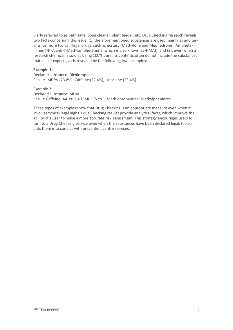ularly referred to as bath salts, bong cleaner, plant feeder, etc. Drug Checking research reveals two facts concerning this issue: (1) the aforementioned substances are used mainly as adulterants for more typical illegal drugs, such as ecstasy (Methylone and Mephedrone), Amphetamines ( 4-FA and 4-Methyamphetamine, which is also known as 4-MA)); and (2), even when a research chemical is sold as being 100% pure, its contents often do not include the substances that a user expects, as is revealed by the following two examples:

#### **Example 1:**

Declared substance: Dichloropane Result: MDPV (23.8%); Caffeine (22.4%); Lidocaine (23.4%)

Example 2:

Declared substance: MDAI Result: Caffeine (44.1%); 3-TFMPP (5.9%); Methiopropamine; Methylphenidate

These types of examples show that Drug Checking is an appropriate measure even when it involves typical legal highs. Drug Checking results provide analytical facts, which improve the ability of a user to make a more accurate risk assessment. This strategy encourages users to turn to a Drug Checking service even when the substances have been declared legal. It also puts them into contact with prevention centre services.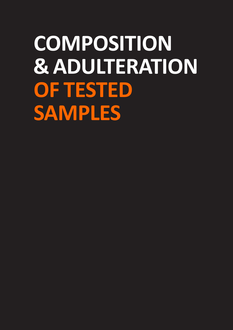# **COMPOSITION & ADULTERATION OF TESTED SAMPLES**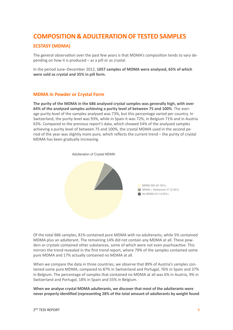## <span id="page-8-0"></span>**COMPOSITION & ADULTERATION OF TESTED SAMPLES**

### **ECSTASY (MDMA)**

The general observation over the past few years is that MDMA's composition tends to vary depending on how it is produced – as a pill or as crystal.

In the period June–December 2012, **1057 samples of MDMA were analysed, 65% of which were sold as crystal and 35% in pill form.**

#### **MDMA in Powder or Crystal Form**

**The purity of the MDMA in the 686 analysed crystal samples was generally high, with over 64% of the analysed samples achieving a purity level of between 75 and 100%**. The average purity level of the samples analysed was 73%, but this percentage varied per country. In Switzerland, the purity level was 93%, while in Spain it was 72%, in Belgium 71% and in Austria 63%. Compared to the previous report's data, which showed 54% of the analysed samples achieving a purity level of between 75 and 100%, the crystal MDMA used in the second period of the year was slightly more pure, which reflects the current trend – the purity of crystal MDMA has been gradually increasing.



Of the total 686 samples, 81% contained pure MDMA with no adulterants, while 5% contained MDMA plus an adulterant. The remaining 14% did not contain any MDMA at all. These powders or crystals contained other substances, some of which were not even psychoactive. This mirrors the trend revealed in the first trend report, where 79% of the samples contained some pure MDMA and 17% actually contained no MDMA at all.

When we compare the data in three countries, we observe that 89% of Austria's samples contained some pure MDMA, compared to 87% in Switzerland and Portugal, 76% in Spain and 37% in Belgium. The percentage of samples that contained no MDMA at all was 6% in Austria, 9% in Switzerland and Portugal, 18% in Spain and 55% in Belgium.

**When we analyse crystal MDMA adulterants, we discover that most of the adulterants were never properly identified (representing 28% of the total amount of adulterants by weight found**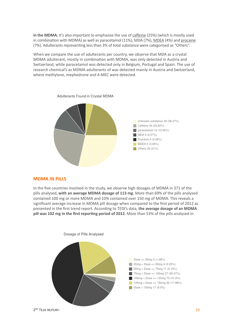**in the MDMA.** It's also important to emphasise the use of [caffeine](http://www.erowid.org/chemicals/caffeine/) (25%) (which is mostly used in combination with MDMA) as well as paracetamol (11%), MDA (7%), [MDEA](http://www.erowid.org/chemicals/mde/) (4%) and [procaine](http://en.wikipedia.org/wiki/Procaine) (7%). Adulterants representing less than 3% of total substance were categorised as "Others".

When we compare the use of adulterants per country, we observe that MDA as a crystal MDMA adulterant, mostly in combination with MDMA, was only detected in Austria and Switzerland, while paracetamol was detected only in Belgium, Portugal and Spain. The use of research chemical's as MDMA adulterants of was detected mainly in Austria and Switzerland, where methylone, mephedrone and 4-MEC were detected.



## Adulterants Found in Crystal MDMA

#### **MDMA IN PILLS**

In the five countries involved in the study, we observe high dosages of MDMA in 371 of the pills analysed, **with an average MDMA dosage of 113 mg**. More than 69% of the pills analysed contained 100 mg or more MDMA and 10% contained over 150 mg of MDMA. This reveals a significant average increase in MDMA pill dosage when compared to the first period of 2012 as presented in the first trend report. According to TEDI's data, **the average dosage of an MDMA pill was 102 mg in the first reporting period of 2012**. More than 53% of the pills analysed in

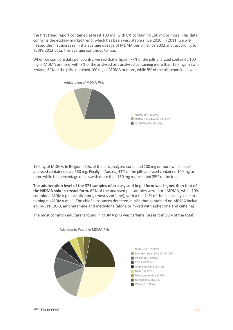the first trend report contained at least 100 mg, with 8% containing 150 mg or more. This data confirms the ecstasy market trend, which has been very stable since 2010. In 2011, we witnessed the first increase in the average dosage of MDMA per pill since 2002 and, according to TEDI's 2012 data, this average continues to rise.

When we compare data per country, we see that in Spain, 77% of the pills analysed contained 100 mg of MDMA or more, with 8% of the analysed pills analysed containing more than 150 mg. In Switzerland, 69% of the pills contained 100 mg of MDMA or more, while 9% of the pills contained over



150 mg of MDMA. In Belgium, 50% of the pills analysed contained 100 mg or more while no pill analysed contained over 150 mg. Finally in Austria, 42% of the pills analysed contained 100 mg or more while the percentage of pills with more than 150 mg represented 25% of the total.

**The adulteration level of the 371 samples of ecstasy sold in pill form was higher than that of the MDMA sold in crystal form.** 62% of the analysed pill samples were pure MDMA, while 10% contained MDMA plus adulterants, (mostly caffeine), with a full 21% of the pills analysed containing no MDMA at all. The chief substances detected in pills that contained no MDMA included: [m-CPP](http://www.erowid.org/chemicals/mcpp/), 2C-B, amphetamine and methylone (alone or mixed with ephedrine and caffeine).

The most common adulterant found in MDMA pills was caffeine (present in 30% of the total).



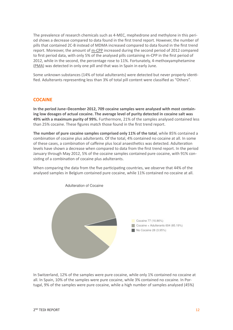The prevalence of research chemicals such as 4-MEC, mephedrone and methylone in this period shows a decrease compared to data found in the first trend report. However, the number of pills that contained 2C-B instead of MDMA increased compared to data found in the first trend report. Moreover, the amount of [m-CPP](http://www.erowid.org/chemicals/mcpp/) increased during the second period of 2012 compared to first period data, with only 5% of the analysed pills containing m-CPP in the first period of 2012, while in the second, the percentage rose to 11%. Fortunately, 4-methoxyamphetamine ([PMA](http://www.erowid.org/chemicals/pma/)) was detected in only one pill and that was in Spain in early June.

Some unknown substances (14% of total adulterants) were detected but never properly identified. Adulterants representing less than 3% of total pill content were classified as "Others".

#### **COCAINE**

**In the period June–December 2012, 709 cocaine samples were analysed with most containing low dosages of actual cocaine. The average level of purity detected in cocaine salt was 49% with a maximum purity of 99%.** Furthermore, 21% of the samples analysed contained less than 25% cocaine. These figures match those found in the first trend report.

**The number of pure cocaine samples comprised only 11% of the total**, while 85% contained a combination of cocaine plus adulterants. Of the total, 4% contained no cocaine at all. In some of these cases, a combination of caffeine plus local anaesthetics was detected. Adulteration levels have shown a decrease when compared to data from the first trend report. In the period January through May 2012, 5% of the cocaine samples contained pure cocaine, with 91% consisting of a combination of cocaine plus adulterants.

When comparing the data from the five participating countries, we observe that 44% of the analysed samples in Belgium contained pure cocaine, while 11% contained no cocaine at all.



In Switzerland, 12% of the samples were pure cocaine, while only 1% contained no cocaine at all. In Spain, 10% of the samples were pure cocaine, while 3% contained no cocaine. In Portugal, 9% of the samples were pure cocaine, while a high number of samples analysed (45%)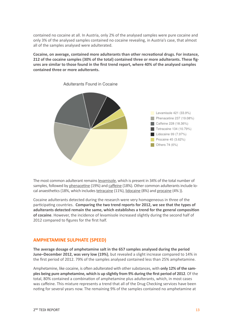contained no cocaine at all. In Austria, only 2% of the analysed samples were pure cocaine and only 3% of the analysed samples contained no cocaine revealing, in Austria's case, that almost all of the samples analysed were adulterated.

**Cocaine, on average, contained more adulterants than other recreational drugs. For instance, 212 of the cocaine samples (30% of the total) contained three or more adulterants. These figures are similar to those found in the first trend report, where 40% of the analysed samples contained three or more adulterants.**



Adulterants Found in Cocaine

The most common adulterant remains [levamisole](http://www.erowid.org/chemicals/cocaine/cocaine_article2.shtml), which is present in 34% of the total number of samples, followed by [phenacetine](http://en.wikipedia.org/wiki/Phenacetine) (19%) and [caffeine](http://www.erowid.org/chemicals/caffeine/) (18%). Other common adulterants include local anaesthetics (18%, which includes [tetracaine](http://en.wikipedia.org/wiki/Tetracaine) (11%), [lidocaine](http://en.wikipedia.org/wiki/Lidocaine) (8%) and [procaine](http://en.wikipedia.org/wiki/Procaine) (4%)).

Cocaine adulterants detected during the research were very homogeneous in three of the participating countries. **Comparing the two trend reports for 2012, we see that the types of adulterants detected remain the same, which establishes a trend for the general composition of cocaine**. However, the incidence of levamisole increased slightly during the second half of 2012 compared to figures for the first half.

#### **AMPHETAMINE SULPHATE (SPEED)**

**The average dosage of amphetamine salt in the 657 samples analysed during the period June–December 2012, was very low (19%)**, but revealed a slight increase compared to 14% in the first period of 2012. 79% of the samples analysed contained less than 25% amphetamine.

Amphetamine, like cocaine, is often adulterated with other substances, with **only 12% of the samples being pure amphetamine, which is up slightly from 9% during the first period of 2012**. Of the total, 80% contained a combination of amphetamine plus adulterants, which, in most cases was caffeine. This mixture represents a trend that all of the Drug Checking services have been noting for several years now. The remaining 9% of the samples contained no amphetamine at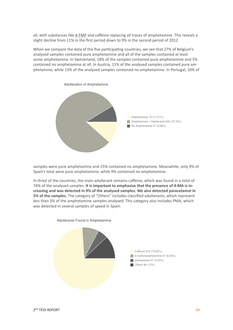all, with substances like [4-FMP](http://www.erowid.org/chemicals/4_fluoroamphetamine/) and caffeine replacing all traces of amphetamine. This reveals a slight decline from 11% in the first period down to 9% in the second period of 2012.

When we compare the data of the five participating countries, we see that 27% of Belgium's analysed samples contained pure amphetamine and all of the samples contained at least some amphetamine. In Switzerland, 18% of the samples contained pure amphetamine and 5% contained no amphetamine at all. In Austria, 11% of the analysed samples contained pure amphetamine, while 13% of the analysed samples contained no amphetamine. In Portugal, 10% of



samples were pure amphetamine and 25% contained no amphetamine. Meanwhile, only 9% of Spain's total were pure amphetamine, while 9% contained no amphetamine.

In three of the countries, the main adulterant remains caffeine, which was found in a total of 74% of the analysed samples. **It is important to emphasise that the presence of 4-MA is increasing and was detected in 9% of the analysed samples. We also detected paracetamol in 5% of the samples.** The category of "Others" includes classified adulterants, which represent less than 3% of the amphetamine samples analysed. This category also includes PMA, which was detected in several samples of speed in Spain.



Adulterants Found in Amphetamine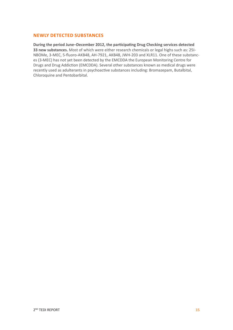#### **NEWLY DETECTED SUBSTANCES**

**During the period June–December 2012, the participating Drug Checking services detected 33 new substances.** Most of which were either research chemicals or legal highs such as: 25I-NBOMe, 3-MEC, 5-fluoro-AKB48, AH-7921, AKB48, JWH-203 and XLR11. One of these substances (3-MEC) has not yet been detected by the EMCDDA the [European Monitoring Centre for](http://www.emcdda.europa.eu/contact)  [Drugs and Drug Addiction \(EMCDDA\)](http://www.emcdda.europa.eu/contact). Several other substances known as medical drugs were recently used as adulterants in psychoactive substances including: Bromazepam, Butalbital, Chloroquine and Pentobarbital.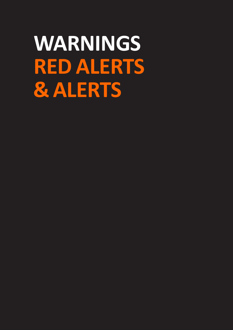# **WARNINGS RED ALERTS & ALERTS**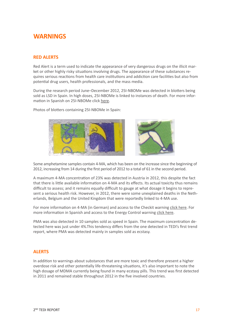## <span id="page-16-0"></span>**WARNINGS**

### **RED ALERTS**

Red Alert is a term used to indicate the appearance of very dangerous drugs on the illicit market or other highly risky situations involving drugs. The appearance of these substances requires serious reactions from health care institutions and addiction care facilities but also from potential drug users, health professionals, and the mass media.

During the research period June–December 2012, 25I-NBOMe was detected in blotters being sold as LSD in Spain. In high doses, 25I-NBOMe is linked to instances of death. For more information in Spanish on 25I-NBOMe click [here](http://energycontrol.org/analisis-de-sustancias/resultados/alertas/492-alerta-25i-nbeome-vendido-como-lsd.html).

Photos of blotters containing 25I-NBOMe in Spain:



Some amphetamine samples contain 4-MA, which has been on the increase since the beginning of 2012, increasing from 14 during the first period of 2012 to a total of 61 in the second period.

A maximum 4-MA concentration of 23% was detected in Austria in 2012, this despite the fact that there is little available information on 4-MA and its effects. Its actual toxicity thus remains difficult to assess; and it remains equally difficult to gauge at what dosage it begins to represent a serious health risk. However, in 2012, there were some unexplained deaths in the Netherlands, Belgium and the United Kingdom that were reportedly linked to 4-MA use.

For more information on 4-MA (in German) and access to the Checkit warning [click here.](mailto:http://www.checkyourdrugs.at/aktuelles/achtung-4-methylamphetamin-in-speed-proben/) For more information in Spanish and access to the Energy Control warning [click here](http://energycontrol.org/analisis-de-sustancias/resultados/alertas/475-alerta-speed-con-4-ma.html).

PMA was also detected in 10 samples sold as speed in Spain. The maximum concentration detected here was just under 4%.This tendency differs from the one detected in TEDI's first trend report, where PMA was detected mainly in samples sold as ecstasy.

#### **ALERTS**

In addition to warnings about substances that are more toxic and therefore present a higher overdose risk and other potentially life-threatening situations, it's also important to note the high dosage of MDMA currently being found in many ecstasy pills. This trend was first detected in 2011 and remained stable throughout 2012 in the five involved countries.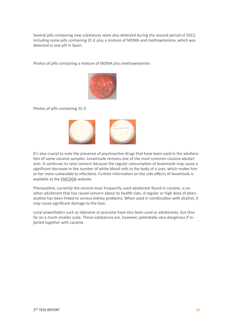Several pills containing new substances were also detected during the second period of 2012, including some pills containing 2C-E plus a mixture of MDMA and methoxetamine, which was detected in one pill in Spain.

Photos of pills containing a mixture of MDMA plus methoxetamine:



Photos of pills containing 2C-E:



It's also crucial to note the presence of psychoactive drugs that have been used in the adulteration of some cocaine samples. Levamisole remains one of the most common cocaine adulterants. It continues to raise concern because the regular consumption of levamisole may cause a significant decrease in the number of white blood cells in the body of a user, which makes him or her more vulnerable to infections. Further information on the side effects of levamisole is available at the [EMCDDA](http://www.emcdda.europa.eu/online/annual-report/2010/boxes/p66) website.

Phenacetine, currently the second most frequently used adulterant found in cocaine, is another adulterant that has raised concern about its health risks. A regular or high dose of phenacetine has been linked to serious kidney problems. When used in combination with alcohol, it may cause significant damage to the liver.

Local anaesthetics such as lidocaine or procaine have also been used as adulterants, but thus far on a much smaller scale. These substances are, however, potentially very dangerous if injected together with cocaine.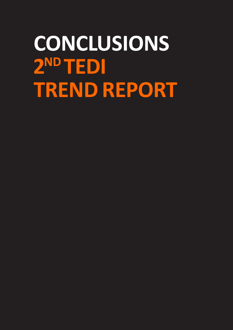# **CONCLUSIONS** 2ND TEDI **TREND REPORT**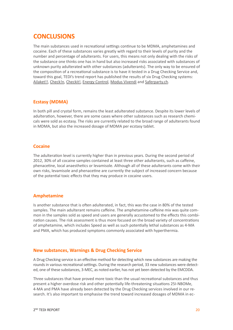## <span id="page-19-0"></span>**CONCLUSIONS**

The main substances used in recreational settings continue to be MDMA, amphetamines and cocaine. Each of these substances varies greatly with regard to their levels of purity and the number and percentage of adulterants. For users, this means not only dealing with the risks of the substance one thinks one has in hand but also increased risks associated with substances of unknown purity adulterated with other substances (adulterants). The only way to be ensured of the composition of a recreational substance is to have it tested in a Drug Checking Service and, toward this goal, TEDI's trend report has published the results of six Drug Checking systems: [Ailaket!!,](http://www.ailaket.com/) [Check!n,](https://sites.google.com/site/checkinfreemind/) [Checkit!,](http://www.checkyourdrugs.at/) [Energy Control,](http://www.energycontrol.org/) [Modus Vivendi](http://www.modusvivendi-be.org/spip.php?rubrique21) and [Saferparty.ch](http://www.saferparty.ch/allgemein.html).

### **Ecstasy (MDMA)**

In both pill and crystal form, remains the least adulterated substance. Despite its lower levels of adulteration, however, there are some cases where other substances such as research chemicals were sold as ecstasy. The risks are currently related to the broad range of adulterants found in MDMA, but also the increased dosage of MDMA per ecstasy tablet.

#### **Cocaine**

The adulteration level is currently higher than in previous years. During the second period of 2012, 30% of all cocaine samples contained at least three other adulterants, such as caffeine, phenacetine, local anaesthetics or levamisole. Although all of these adulterants come with their own risks, levamisole and phenacetine are currently the subject of increased concern because of the potential toxic effects that they may produce in cocaine users.

### **Amphetamine**

Is another substance that is often adulterated, in fact, this was the case in 80% of the tested samples. The main adulterant remains caffeine. The amphetamine-caffeine mix was quite common in the samples sold as speed and users are generally accustomed to the effects this combination causes. The risk assessment is thus more focused on the broad variety of concentrations of amphetamine, which includes Speed as well as such potentially lethal substances as 4-MA and PMA, which has produced symptoms commonly associated with hyperthermia.

### **New substances, Warnings & Drug Checking Service**

A Drug Checking service is an effective method for detecting which new substances are making the rounds in various recreational settings. During the research period, 33 new substances were detected, one of these substances, 3-MEC, as noted earlier, has not yet been detected by the EMCDDA.

Three substances that have proved more toxic than the usual recreational substances and thus present a higher overdose risk and other potentially life-threatening situations 25I-NBOMe, 4-MA and PMA have already been detected by the Drug Checking services involved in our research. It's also important to emphasise the trend toward increased dosages of MDMA in ec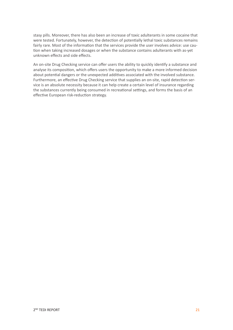stasy pills. Moreover, there has also been an increase of toxic adulterants in some cocaine that were tested. Fortunately, however, the detection of potentially lethal toxic substances remains fairly rare. Most of the information that the services provide the user involves advice: use caution when taking increased dosages or when the substance contains adulterants with as-yet unknown effects and side effects.

An on-site Drug Checking service can offer users the ability to quickly identify a substance and analyse its composition, which offers users the opportunity to make a more informed decision about potential dangers or the unexpected additives associated with the involved substance. Furthermore, an effective Drug Checking service that supplies an on-site, rapid detection service is an absolute necessity because it can help create a certain level of insurance regarding the substances currently being consumed in recreational settings, and forms the basis of an effective European risk-reduction strategy.